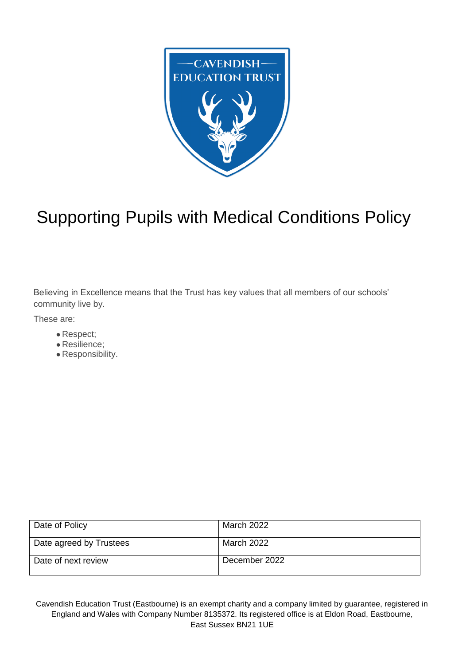<span id="page-0-0"></span>

# Supporting Pupils with Medical Conditions Policy

Believing in Excellence means that the Trust has key values that all members of our schools' community live by.

These are:

- Respect;
- Resilience;
- Responsibility.

| Date of Policy          | March 2022    |
|-------------------------|---------------|
| Date agreed by Trustees | March 2022    |
| Date of next review     | December 2022 |

Cavendish Education Trust (Eastbourne) is an exempt charity and a company limited by guarantee, registered in England and Wales with Company Number 8135372. Its registered office is at Eldon Road, Eastbourne, East Sussex BN21 1UE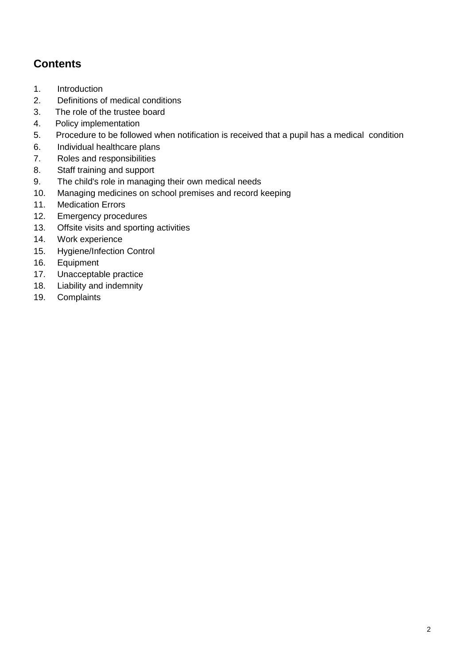# **Contents**

- 1. [Introduction](#page-0-0)
- 2. [Definitions](#page-2-0) of medical conditions
- [3. The](#page-2-1) role of the trustee board
- 4. Policy [implementation](#page-3-0)
- 5. Procedure to be followed when notification is received that a pupil has a [medical condition](#page-4-0)
- 6. Individual [healthcare](#page-4-1) plans
- 7. Roles and [responsibilities](#page-6-0)
- 8. Staff training and [support](#page-7-0)
- 9. The child's role in [managing](#page-7-1) their own medical needs
- 10. Managing [medicines](#page-8-0) on school premises and record keeping
- 11. [Medication](#page-9-0) Errors
- 12. [Emergency](#page-9-1) procedures
- 13. Offsite visits and sporting [activities](#page-9-2)
- 14. Work [experience](#page-10-0)
- 15. [Hygiene/Infection](#page-10-1) Control
- 16. [Equipment](#page-10-2)
- 17. [Unacceptable](#page-10-3) practice
- 18. Liability and [indemnity](#page-11-0)
- 19. [Complaints](#page-11-1)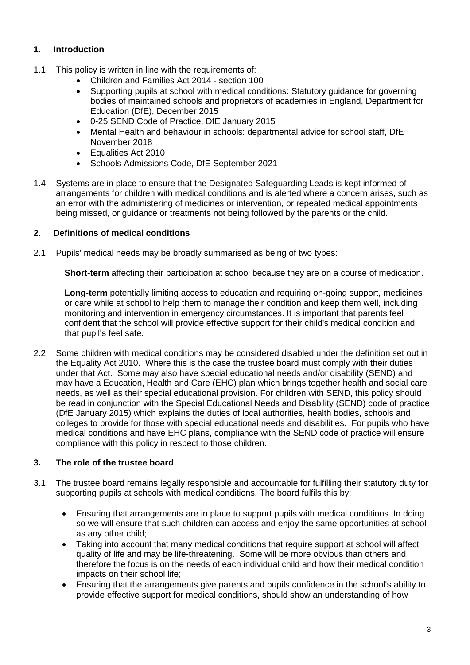# **1. Introduction**

- 1.1 This policy is written in line with the requirements of:
	- Children and Families Act 2014 section 100
	- Supporting pupils at school with medical conditions: Statutory guidance for governing bodies of maintained schools and proprietors of academies in England, Department for Education (DfE), December 2015
	- 0-25 SEND Code of Practice, DfE January 2015
	- Mental Health and behaviour in schools: departmental advice for school staff, DfE November 2018
	- Equalities Act 2010
	- Schools Admissions Code, DfE September 2021
- 1.4 Systems are in place to ensure that the Designated Safeguarding Leads is kept informed of arrangements for children with medical conditions and is alerted where a concern arises, such as an error with the administering of medicines or intervention, or repeated medical appointments being missed, or guidance or treatments not being followed by the parents or the child.

# <span id="page-2-0"></span>**2. Definitions of medical conditions**

2.1 Pupils' medical needs may be broadly summarised as being of two types:

**Short-term** affecting their participation at school because they are on a course of medication.

**Long-term** potentially limiting access to education and requiring on-going support, medicines or care while at school to help them to manage their condition and keep them well, including monitoring and intervention in emergency circumstances. It is important that parents feel confident that the school will provide effective support for their child's medical condition and that pupil's feel safe.

2.2 Some children with medical conditions may be considered disabled under the definition set out in the Equality Act 2010. Where this is the case the trustee board must comply with their duties under that Act. Some may also have special educational needs and/or disability (SEND) and may have a Education, Health and Care (EHC) plan which brings together health and social care needs, as well as their special educational provision. For children with SEND, this policy should be read in conjunction with the Special Educational Needs and Disability (SEND) code of practice (DfE January 2015) which explains the duties of local authorities, health bodies, schools and colleges to provide for those with special educational needs and disabilities. For pupils who have medical conditions and have EHC plans, compliance with the SEND code of practice will ensure compliance with this policy in respect to those children.

## <span id="page-2-1"></span>**3. The role of the trustee board**

- 3.1 The trustee board remains legally responsible and accountable for fulfilling their statutory duty for supporting pupils at schools with medical conditions. The board fulfils this by:
	- Ensuring that arrangements are in place to support pupils with medical conditions. In doing so we will ensure that such children can access and enjoy the same opportunities at school as any other child;
	- Taking into account that many medical conditions that require support at school will affect quality of life and may be life-threatening. Some will be more obvious than others and therefore the focus is on the needs of each individual child and how their medical condition impacts on their school life;
	- Ensuring that the arrangements give parents and pupils confidence in the school's ability to provide effective support for medical conditions, should show an understanding of how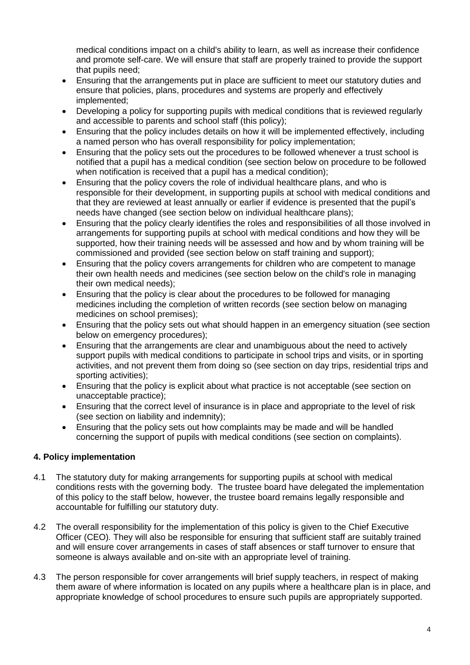medical conditions impact on a child's ability to learn, as well as increase their confidence and promote self-care. We will ensure that staff are properly trained to provide the support that pupils need;

- Ensuring that the arrangements put in place are sufficient to meet our statutory duties and ensure that policies, plans, procedures and systems are properly and effectively implemented;
- Developing a policy for supporting pupils with medical conditions that is reviewed regularly and accessible to parents and school staff (this policy);
- Ensuring that the policy includes details on how it will be implemented effectively, including a named person who has overall responsibility for policy implementation;
- Ensuring that the policy sets out the procedures to be followed whenever a trust school is notified that a pupil has a medical condition (see section below on procedure to be followed when notification is received that a pupil has a medical condition);
- Ensuring that the policy covers the role of individual healthcare plans, and who is responsible for their development, in supporting pupils at school with medical conditions and that they are reviewed at least annually or earlier if evidence is presented that the pupil's needs have changed (see section below on individual healthcare plans);
- Ensuring that the policy clearly identifies the roles and responsibilities of all those involved in arrangements for supporting pupils at school with medical conditions and how they will be supported, how their training needs will be assessed and how and by whom training will be commissioned and provided (see section below on staff training and support);
- Ensuring that the policy covers arrangements for children who are competent to manage their own health needs and medicines (see section below on the child's role in managing their own medical needs);
- Ensuring that the policy is clear about the procedures to be followed for managing medicines including the completion of written records (see section below on managing medicines on school premises);
- Ensuring that the policy sets out what should happen in an emergency situation (see section below on emergency procedures);
- Ensuring that the arrangements are clear and unambiguous about the need to actively support pupils with medical conditions to participate in school trips and visits, or in sporting activities, and not prevent them from doing so (see section on day trips, residential trips and sporting activities);
- Ensuring that the policy is explicit about what practice is not acceptable (see section on unacceptable practice);
- Ensuring that the correct level of insurance is in place and appropriate to the level of risk (see section on liability and indemnity);
- Ensuring that the policy sets out how complaints may be made and will be handled concerning the support of pupils with medical conditions (see section on complaints).

# <span id="page-3-0"></span>**4. Policy implementation**

- 4.1 The statutory duty for making arrangements for supporting pupils at school with medical conditions rests with the governing body. The trustee board have delegated the implementation of this policy to the staff below, however, the trustee board remains legally responsible and accountable for fulfilling our statutory duty.
- 4.2 The overall responsibility for the implementation of this policy is given to the Chief Executive Officer (CEO)*.* They will also be responsible for ensuring that sufficient staff are suitably trained and will ensure cover arrangements in cases of staff absences or staff turnover to ensure that someone is always available and on-site with an appropriate level of training.
- 4.3 The person responsible for cover arrangements will brief supply teachers, in respect of making them aware of where information is located on any pupils where a healthcare plan is in place, and appropriate knowledge of school procedures to ensure such pupils are appropriately supported.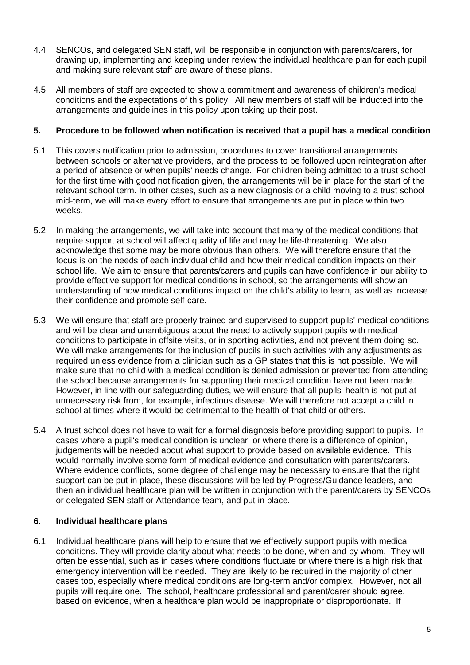- 4.4 SENCOs, and delegated SEN staff, will be responsible in conjunction with parents/carers, for drawing up, implementing and keeping under review the individual healthcare plan for each pupil and making sure relevant staff are aware of these plans.
- 4.5 All members of staff are expected to show a commitment and awareness of children's medical conditions and the expectations of this policy. All new members of staff will be inducted into the arrangements and guidelines in this policy upon taking up their post.

#### <span id="page-4-0"></span>**5. Procedure to be followed when notification is received that a pupil has a medical condition**

- 5.1 This covers notification prior to admission, procedures to cover transitional arrangements between schools or alternative providers, and the process to be followed upon reintegration after a period of absence or when pupils' needs change. For children being admitted to a trust school for the first time with good notification given, the arrangements will be in place for the start of the relevant school term. In other cases, such as a new diagnosis or a child moving to a trust school mid-term, we will make every effort to ensure that arrangements are put in place within two weeks.
- 5.2 In making the arrangements, we will take into account that many of the medical conditions that require support at school will affect quality of life and may be life-threatening. We also acknowledge that some may be more obvious than others. We will therefore ensure that the focus is on the needs of each individual child and how their medical condition impacts on their school life. We aim to ensure that parents/carers and pupils can have confidence in our ability to provide effective support for medical conditions in school, so the arrangements will show an understanding of how medical conditions impact on the child's ability to learn, as well as increase their confidence and promote self-care.
- 5.3 We will ensure that staff are properly trained and supervised to support pupils' medical conditions and will be clear and unambiguous about the need to actively support pupils with medical conditions to participate in offsite visits, or in sporting activities, and not prevent them doing so. We will make arrangements for the inclusion of pupils in such activities with any adjustments as required unless evidence from a clinician such as a GP states that this is not possible. We will make sure that no child with a medical condition is denied admission or prevented from attending the school because arrangements for supporting their medical condition have not been made. However, in line with our safeguarding duties, we will ensure that all pupils' health is not put at unnecessary risk from, for example, infectious disease. We will therefore not accept a child in school at times where it would be detrimental to the health of that child or others.
- 5.4 A trust school does not have to wait for a formal diagnosis before providing support to pupils. In cases where a pupil's medical condition is unclear, or where there is a difference of opinion, judgements will be needed about what support to provide based on available evidence. This would normally involve some form of medical evidence and consultation with parents/carers. Where evidence conflicts, some degree of challenge may be necessary to ensure that the right support can be put in place, these discussions will be led by Progress/Guidance leaders, and then an individual healthcare plan will be written in conjunction with the parent/carers by SENCOs or delegated SEN staff or Attendance team, and put in place.

## <span id="page-4-1"></span>**6. Individual healthcare plans**

6.1 Individual healthcare plans will help to ensure that we effectively support pupils with medical conditions. They will provide clarity about what needs to be done, when and by whom. They will often be essential, such as in cases where conditions fluctuate or where there is a high risk that emergency intervention will be needed. They are likely to be required in the majority of other cases too, especially where medical conditions are long-term and/or complex. However, not all pupils will require one. The school, healthcare professional and parent/carer should agree, based on evidence, when a healthcare plan would be inappropriate or disproportionate. If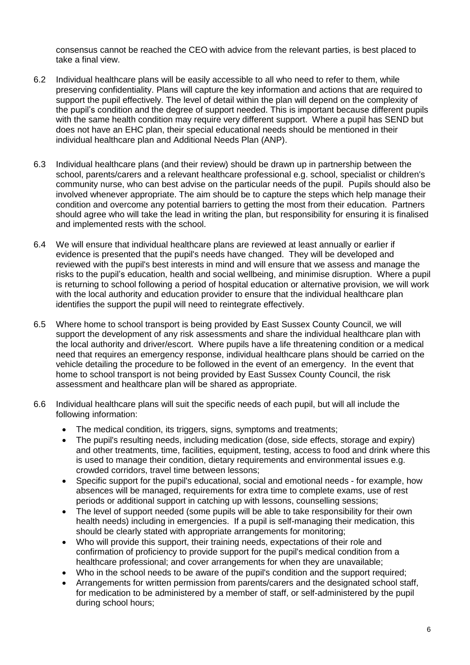consensus cannot be reached the CEO with advice from the relevant parties, is best placed to take a final view.

- 6.2 Individual healthcare plans will be easily accessible to all who need to refer to them, while preserving confidentiality. Plans will capture the key information and actions that are required to support the pupil effectively. The level of detail within the plan will depend on the complexity of the pupil's condition and the degree of support needed. This is important because different pupils with the same health condition may require very different support. Where a pupil has SEND but does not have an EHC plan, their special educational needs should be mentioned in their individual healthcare plan and Additional Needs Plan (ANP).
- 6.3 Individual healthcare plans (and their review) should be drawn up in partnership between the school, parents/carers and a relevant healthcare professional e.g. school, specialist or children's community nurse, who can best advise on the particular needs of the pupil. Pupils should also be involved whenever appropriate. The aim should be to capture the steps which help manage their condition and overcome any potential barriers to getting the most from their education. Partners should agree who will take the lead in writing the plan, but responsibility for ensuring it is finalised and implemented rests with the school.
- 6.4 We will ensure that individual healthcare plans are reviewed at least annually or earlier if evidence is presented that the pupil's needs have changed. They will be developed and reviewed with the pupil's best interests in mind and will ensure that we assess and manage the risks to the pupil's education, health and social wellbeing, and minimise disruption. Where a pupil is returning to school following a period of hospital education or alternative provision, we will work with the local authority and education provider to ensure that the individual healthcare plan identifies the support the pupil will need to reintegrate effectively.
- 6.5 Where home to school transport is being provided by East Sussex County Council, we will support the development of any risk assessments and share the individual healthcare plan with the local authority and driver/escort. Where pupils have a life threatening condition or a medical need that requires an emergency response, individual healthcare plans should be carried on the vehicle detailing the procedure to be followed in the event of an emergency. In the event that home to school transport is not being provided by East Sussex County Council, the risk assessment and healthcare plan will be shared as appropriate.
- 6.6 Individual healthcare plans will suit the specific needs of each pupil, but will all include the following information:
	- The medical condition, its triggers, signs, symptoms and treatments;
	- The pupil's resulting needs, including medication (dose, side effects, storage and expiry) and other treatments, time, facilities, equipment, testing, access to food and drink where this is used to manage their condition, dietary requirements and environmental issues e.g. crowded corridors, travel time between lessons;
	- Specific support for the pupil's educational, social and emotional needs for example, how absences will be managed, requirements for extra time to complete exams, use of rest periods or additional support in catching up with lessons, counselling sessions;
	- The level of support needed (some pupils will be able to take responsibility for their own health needs) including in emergencies. If a pupil is self-managing their medication, this should be clearly stated with appropriate arrangements for monitoring;
	- Who will provide this support, their training needs, expectations of their role and confirmation of proficiency to provide support for the pupil's medical condition from a healthcare professional; and cover arrangements for when they are unavailable;
	- Who in the school needs to be aware of the pupil's condition and the support required;
	- Arrangements for written permission from parents/carers and the designated school staff, for medication to be administered by a member of staff, or self-administered by the pupil during school hours;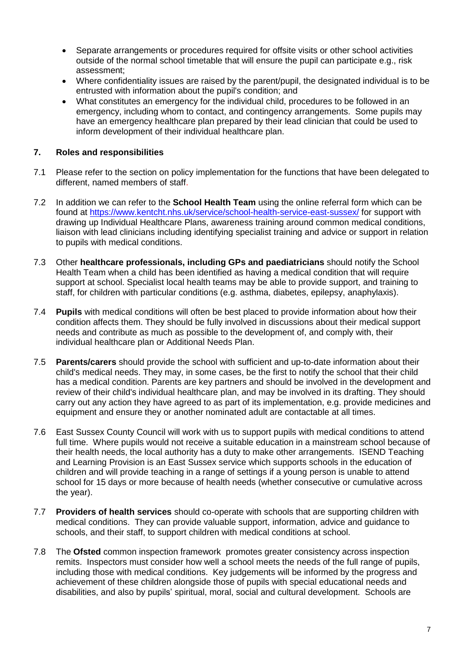- Separate arrangements or procedures required for offsite visits or other school activities outside of the normal school timetable that will ensure the pupil can participate e.g., risk assessment;
- Where confidentiality issues are raised by the parent/pupil, the designated individual is to be entrusted with information about the pupil's condition; and
- What constitutes an emergency for the individual child, procedures to be followed in an emergency, including whom to contact, and contingency arrangements. Some pupils may have an emergency healthcare plan prepared by their lead clinician that could be used to inform development of their individual healthcare plan.

#### <span id="page-6-0"></span>**7. Roles and responsibilities**

- 7.1 Please refer to the section on policy implementation for the functions that have been delegated to different, named members of staff.
- 7.2 In addition we can refer to the **School Health Team** using the online referral form which can be found at <https://www.kentcht.nhs.uk/service/school-health-service-east-sussex/> for support with drawing up Individual Healthcare Plans, awareness training around common medical conditions, liaison with lead clinicians including identifying specialist training and advice or support in relation to pupils with medical conditions.
- 7.3 Other **healthcare professionals, including GPs and paediatricians** should notify the School Health Team when a child has been identified as having a medical condition that will require support at school. Specialist local health teams may be able to provide support, and training to staff, for children with particular conditions (e.g. asthma, diabetes, epilepsy, anaphylaxis).
- 7.4 **Pupils** with medical conditions will often be best placed to provide information about how their condition affects them. They should be fully involved in discussions about their medical support needs and contribute as much as possible to the development of, and comply with, their individual healthcare plan or Additional Needs Plan.
- 7.5 **Parents/carers** should provide the school with sufficient and up-to-date information about their child's medical needs. They may, in some cases, be the first to notify the school that their child has a medical condition. Parents are key partners and should be involved in the development and review of their child's individual healthcare plan, and may be involved in its drafting. They should carry out any action they have agreed to as part of its implementation, e.g. provide medicines and equipment and ensure they or another nominated adult are contactable at all times.
- 7.6 East Sussex County Council will work with us to support pupils with medical conditions to attend full time. Where pupils would not receive a suitable education in a mainstream school because of their health needs, the local authority has a duty to make other arrangements. ISEND Teaching and Learning Provision is an East Sussex service which supports schools in the education of children and will provide teaching in a range of settings if a young person is unable to attend school for 15 days or more because of health needs (whether consecutive or cumulative across the year).
- 7.7 **Providers of health services** should co-operate with schools that are supporting children with medical conditions. They can provide valuable support, information, advice and guidance to schools, and their staff, to support children with medical conditions at school.
- 7.8 The **Ofsted** common inspection framework promotes greater consistency across inspection remits. Inspectors must consider how well a school meets the needs of the full range of pupils, including those with medical conditions. Key judgements will be informed by the progress and achievement of these children alongside those of pupils with special educational needs and disabilities, and also by pupils' spiritual, moral, social and cultural development. Schools are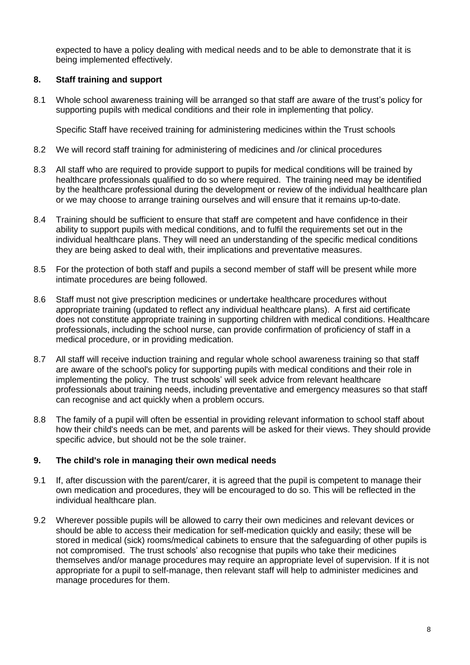expected to have a policy dealing with medical needs and to be able to demonstrate that it is being implemented effectively.

#### <span id="page-7-0"></span>**8. Staff training and support**

8.1 Whole school awareness training will be arranged so that staff are aware of the trust's policy for supporting pupils with medical conditions and their role in implementing that policy.

Specific Staff have received training for administering medicines within the Trust schools

- 8.2 We will record staff training for administering of medicines and /or clinical procedures
- 8.3 All staff who are required to provide support to pupils for medical conditions will be trained by healthcare professionals qualified to do so where required. The training need may be identified by the healthcare professional during the development or review of the individual healthcare plan or we may choose to arrange training ourselves and will ensure that it remains up-to-date.
- 8.4 Training should be sufficient to ensure that staff are competent and have confidence in their ability to support pupils with medical conditions, and to fulfil the requirements set out in the individual healthcare plans. They will need an understanding of the specific medical conditions they are being asked to deal with, their implications and preventative measures.
- 8.5 For the protection of both staff and pupils a second member of staff will be present while more intimate procedures are being followed.
- 8.6 Staff must not give prescription medicines or undertake healthcare procedures without appropriate training (updated to reflect any individual healthcare plans). A first aid certificate does not constitute appropriate training in supporting children with medical conditions. Healthcare professionals, including the school nurse, can provide confirmation of proficiency of staff in a medical procedure, or in providing medication.
- 8.7 All staff will receive induction training and regular whole school awareness training so that staff are aware of the school's policy for supporting pupils with medical conditions and their role in implementing the policy. The trust schools' will seek advice from relevant healthcare professionals about training needs, including preventative and emergency measures so that staff can recognise and act quickly when a problem occurs.
- 8.8 The family of a pupil will often be essential in providing relevant information to school staff about how their child's needs can be met, and parents will be asked for their views. They should provide specific advice, but should not be the sole trainer.

## <span id="page-7-1"></span>**9. The child's role in managing their own medical needs**

- 9.1 If, after discussion with the parent/carer, it is agreed that the pupil is competent to manage their own medication and procedures, they will be encouraged to do so. This will be reflected in the individual healthcare plan.
- 9.2 Wherever possible pupils will be allowed to carry their own medicines and relevant devices or should be able to access their medication for self-medication quickly and easily; these will be stored in medical (sick) rooms/medical cabinets to ensure that the safeguarding of other pupils is not compromised. The trust schools' also recognise that pupils who take their medicines themselves and/or manage procedures may require an appropriate level of supervision. If it is not appropriate for a pupil to self-manage, then relevant staff will help to administer medicines and manage procedures for them.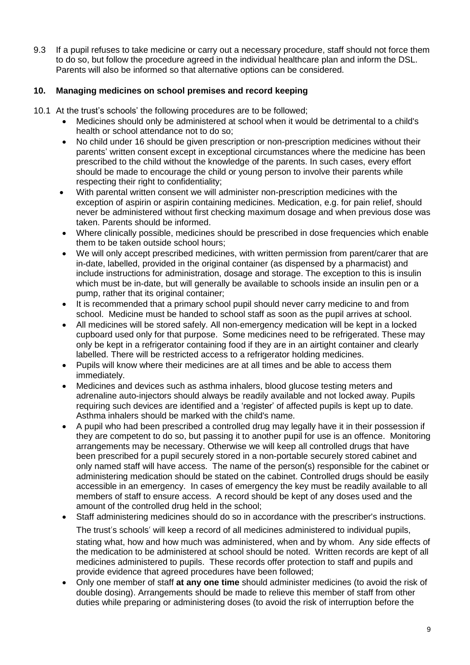9.3 If a pupil refuses to take medicine or carry out a necessary procedure, staff should not force them to do so, but follow the procedure agreed in the individual healthcare plan and inform the DSL. Parents will also be informed so that alternative options can be considered.

## <span id="page-8-0"></span>**10. Managing medicines on school premises and record keeping**

- 10.1 At the trust's schools' the following procedures are to be followed;
	- Medicines should only be administered at school when it would be detrimental to a child's health or school attendance not to do so;
	- No child under 16 should be given prescription or non-prescription medicines without their parents' written consent except in exceptional circumstances where the medicine has been prescribed to the child without the knowledge of the parents. In such cases, every effort should be made to encourage the child or young person to involve their parents while respecting their right to confidentiality;
	- With parental written consent we will administer non-prescription medicines with the exception of aspirin or aspirin containing medicines. Medication, e.g. for pain relief, should never be administered without first checking maximum dosage and when previous dose was taken. Parents should be informed.
	- Where clinically possible, medicines should be prescribed in dose frequencies which enable them to be taken outside school hours;
	- We will only accept prescribed medicines, with written permission from parent/carer that are in-date, labelled, provided in the original container (as dispensed by a pharmacist) and include instructions for administration, dosage and storage. The exception to this is insulin which must be in-date, but will generally be available to schools inside an insulin pen or a pump, rather that its original container;
	- It is recommended that a primary school pupil should never carry medicine to and from school. Medicine must be handed to school staff as soon as the pupil arrives at school.
	- All medicines will be stored safely. All non-emergency medication will be kept in a locked cupboard used only for that purpose. Some medicines need to be refrigerated. These may only be kept in a refrigerator containing food if they are in an airtight container and clearly labelled. There will be restricted access to a refrigerator holding medicines.
	- Pupils will know where their medicines are at all times and be able to access them immediately.
	- Medicines and devices such as asthma inhalers, blood glucose testing meters and adrenaline auto-injectors should always be readily available and not locked away. Pupils requiring such devices are identified and a 'register' of affected pupils is kept up to date. Asthma inhalers should be marked with the child's name.
	- A pupil who had been prescribed a controlled drug may legally have it in their possession if they are competent to do so, but passing it to another pupil for use is an offence. Monitoring arrangements may be necessary. Otherwise we will keep all controlled drugs that have been prescribed for a pupil securely stored in a non-portable securely stored cabinet and only named staff will have access. The name of the person(s) responsible for the cabinet or administering medication should be stated on the cabinet. Controlled drugs should be easily accessible in an emergency. In cases of emergency the key must be readily available to all members of staff to ensure access. A record should be kept of any doses used and the amount of the controlled drug held in the school;
	- Staff administering medicines should do so in accordance with the prescriber's instructions. The trust's schools' will keep a record of all medicines administered to individual pupils, stating what, how and how much was administered, when and by whom. Any side effects of the medication to be administered at school should be noted. Written records are kept of all medicines administered to pupils. These records offer protection to staff and pupils and provide evidence that agreed procedures have been followed;
	- Only one member of staff **at any one time** should administer medicines (to avoid the risk of double dosing). Arrangements should be made to relieve this member of staff from other duties while preparing or administering doses (to avoid the risk of interruption before the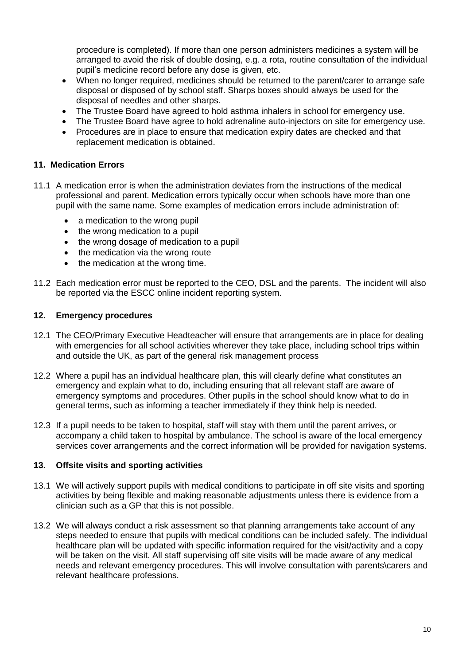procedure is completed). If more than one person administers medicines a system will be arranged to avoid the risk of double dosing, e.g. a rota, routine consultation of the individual pupil's medicine record before any dose is given, etc.

- When no longer required, medicines should be returned to the parent/carer to arrange safe disposal or disposed of by school staff. Sharps boxes should always be used for the disposal of needles and other sharps.
- The Trustee Board have agreed to hold asthma inhalers in school for emergency use.
- The Trustee Board have agree to hold adrenaline auto-injectors on site for emergency use.
- Procedures are in place to ensure that medication expiry dates are checked and that replacement medication is obtained.

#### <span id="page-9-0"></span>**11. Medication Errors**

- 11.1 A medication error is when the administration deviates from the instructions of the medical professional and parent. Medication errors typically occur when schools have more than one pupil with the same name. Some examples of medication errors include administration of:
	- a medication to the wrong pupil
	- the wrong medication to a pupil
	- the wrong dosage of medication to a pupil
	- the medication via the wrong route
	- the medication at the wrong time.
- 11.2 Each medication error must be reported to the CEO, DSL and the parents. The incident will also be reported via the ESCC online incident reporting system.

#### <span id="page-9-1"></span>**12. Emergency procedures**

- 12.1 The CEO/Primary Executive Headteacher will ensure that arrangements are in place for dealing with emergencies for all school activities wherever they take place, including school trips within and outside the UK, as part of the general risk management process
- 12.2 Where a pupil has an individual healthcare plan, this will clearly define what constitutes an emergency and explain what to do, including ensuring that all relevant staff are aware of emergency symptoms and procedures. Other pupils in the school should know what to do in general terms, such as informing a teacher immediately if they think help is needed.
- 12.3 If a pupil needs to be taken to hospital, staff will stay with them until the parent arrives, or accompany a child taken to hospital by ambulance. The school is aware of the local emergency services cover arrangements and the correct information will be provided for navigation systems.

#### <span id="page-9-2"></span>**13. Offsite visits and sporting activities**

- 13.1 We will actively support pupils with medical conditions to participate in off site visits and sporting activities by being flexible and making reasonable adjustments unless there is evidence from a clinician such as a GP that this is not possible.
- 13.2 We will always conduct a risk assessment so that planning arrangements take account of any steps needed to ensure that pupils with medical conditions can be included safely. The individual healthcare plan will be updated with specific information required for the visit/activity and a copy will be taken on the visit. All staff supervising off site visits will be made aware of any medical needs and relevant emergency procedures. This will involve consultation with parents\carers and relevant healthcare professions.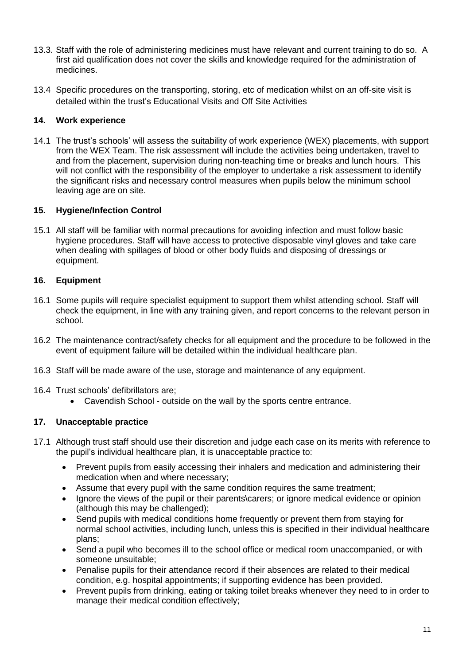- 13.3. Staff with the role of administering medicines must have relevant and current training to do so. A first aid qualification does not cover the skills and knowledge required for the administration of medicines.
- 13.4 Specific procedures on the transporting, storing, etc of medication whilst on an off-site visit is detailed within the trust's Educational Visits and Off Site Activities

#### <span id="page-10-0"></span>**14. Work experience**

14.1 The trust's schools' will assess the suitability of work experience (WEX) placements, with support from the WEX Team. The risk assessment will include the activities being undertaken, travel to and from the placement, supervision during non-teaching time or breaks and lunch hours. This will not conflict with the responsibility of the employer to undertake a risk assessment to identify the significant risks and necessary control measures when pupils below the minimum school leaving age are on site.

#### <span id="page-10-1"></span>**15. Hygiene/Infection Control**

15.1 All staff will be familiar with normal precautions for avoiding infection and must follow basic hygiene procedures. Staff will have access to protective disposable vinyl gloves and take care when dealing with spillages of blood or other body fluids and disposing of dressings or equipment.

#### <span id="page-10-2"></span>**16. Equipment**

- 16.1 Some pupils will require specialist equipment to support them whilst attending school. Staff will check the equipment, in line with any training given, and report concerns to the relevant person in school.
- 16.2 The maintenance contract/safety checks for all equipment and the procedure to be followed in the event of equipment failure will be detailed within the individual healthcare plan.
- 16.3 Staff will be made aware of the use, storage and maintenance of any equipment.
- 16.4 Trust schools' defibrillators are;
	- Cavendish School outside on the wall by the sports centre entrance.

## <span id="page-10-3"></span>**17. Unacceptable practice**

- 17.1 Although trust staff should use their discretion and judge each case on its merits with reference to the pupil's individual healthcare plan, it is unacceptable practice to:
	- Prevent pupils from easily accessing their inhalers and medication and administering their medication when and where necessary;
	- Assume that every pupil with the same condition requires the same treatment;
	- Ignore the views of the pupil or their parents\carers; or ignore medical evidence or opinion (although this may be challenged);
	- Send pupils with medical conditions home frequently or prevent them from staying for normal school activities, including lunch, unless this is specified in their individual healthcare plans;
	- Send a pupil who becomes ill to the school office or medical room unaccompanied, or with someone unsuitable;
	- Penalise pupils for their attendance record if their absences are related to their medical condition, e.g. hospital appointments; if supporting evidence has been provided.
	- Prevent pupils from drinking, eating or taking toilet breaks whenever they need to in order to manage their medical condition effectively;